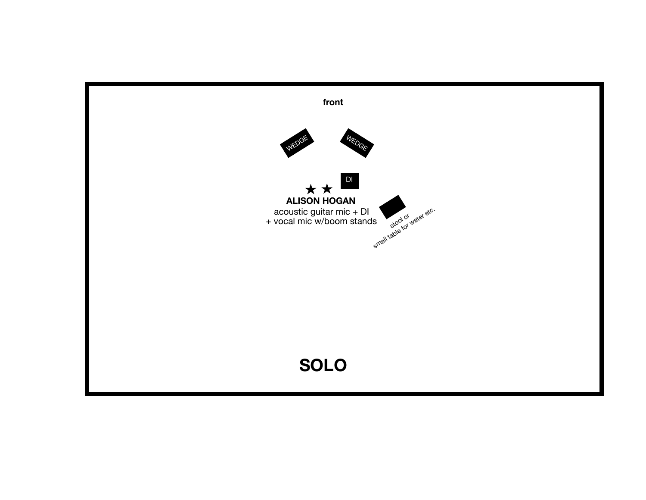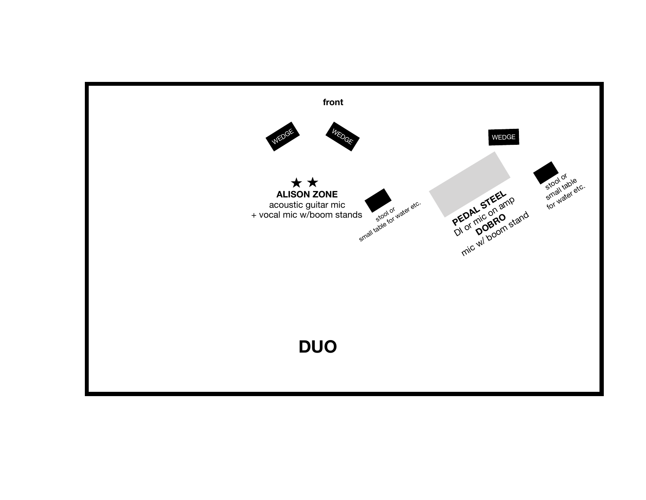